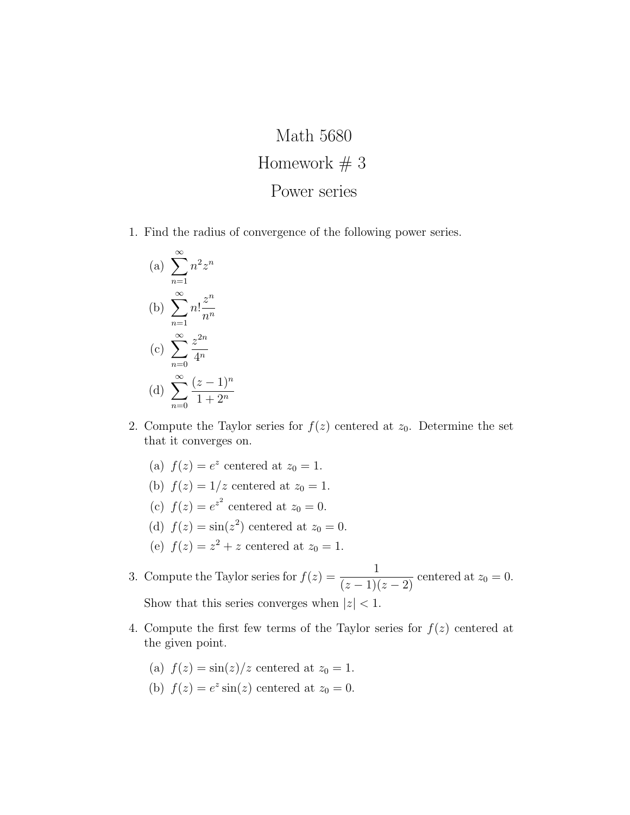## Math 5680 Homework  $# 3$ Power series

1. Find the radius of convergence of the following power series.

(a) 
$$
\sum_{n=1}^{\infty} n^2 z^n
$$
  
\n(b) 
$$
\sum_{n=1}^{\infty} n! \frac{z^n}{n^n}
$$
  
\n(c) 
$$
\sum_{n=0}^{\infty} \frac{z^{2n}}{4^n}
$$
  
\n(d) 
$$
\sum_{n=0}^{\infty} \frac{(z-1)^n}{1+2^n}
$$

- 2. Compute the Taylor series for  $f(z)$  centered at  $z_0$ . Determine the set that it converges on.
	- (a)  $f(z) = e^z$  centered at  $z_0 = 1$ .
	- (b)  $f(z) = 1/z$  centered at  $z_0 = 1$ .
	- (c)  $f(z) = e^{z^2}$  centered at  $z_0 = 0$ .
	- (d)  $f(z) = \sin(z^2)$  centered at  $z_0 = 0$ .
	- (e)  $f(z) = z^2 + z$  centered at  $z_0 = 1$ .
- 3. Compute the Taylor series for  $f(z) = \frac{1}{(1+z)^2}$  $\frac{1}{(z-1)(z-2)}$  centered at  $z_0 = 0$ . Show that this series converges when  $|z| < 1$ .
- 4. Compute the first few terms of the Taylor series for  $f(z)$  centered at the given point.
	- (a)  $f(z) = \frac{\sin(z)}{z}$  centered at  $z_0 = 1$ .
	- (b)  $f(z) = e^z \sin(z)$  centered at  $z_0 = 0$ .